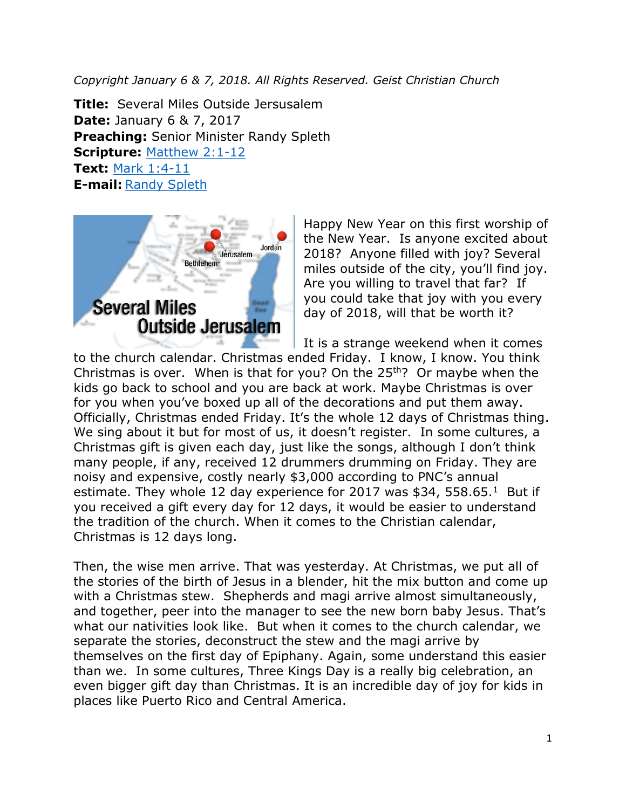*Copyright January 6 & 7, 2018. All Rights Reserved. Geist Christian Church*

**Title:** Several Miles Outside Jersusalem **Date:** January 6 & 7, 2017 **Preaching:** Senior Minister Randy Spleth **Scripture:** [Matthew 2:1-12](https://www.biblegateway.com/passage/?search=Matthew+2%3A1-12&version=NRSV) **Text:** [Mark 1:4-11](https://www.biblegateway.com/passage/?search=Mark+1%3A4-11&version=NRSV) **E-mail:** [Randy Spleth](mailto:randy.spleth@geistchristian.org)



Happy New Year on this first worship of the New Year. Is anyone excited about 2018? Anyone filled with joy? Several miles outside of the city, you'll find joy. Are you willing to travel that far? If you could take that joy with you every day of 2018, will that be worth it?

It is a strange weekend when it comes

to the church calendar. Christmas ended Friday. I know, I know. You think Christmas is over. When is that for you? On the  $25<sup>th</sup>$ ? Or maybe when the kids go back to school and you are back at work. Maybe Christmas is over for you when you've boxed up all of the decorations and put them away. Officially, Christmas ended Friday. It's the whole 12 days of Christmas thing. We sing about it but for most of us, it doesn't register. In some cultures, a Christmas gift is given each day, just like the songs, although I don't think many people, if any, received 12 drummers drumming on Friday. They are noisy and expensive, costly nearly \$3,000 according to PNC's annual estimate. They whole 12 day experience for 2017 was \$34, 558.65.<sup>1</sup> But if you received a gift every day for 12 days, it would be easier to understand the tradition of the church. When it comes to the Christian calendar, Christmas is 12 days long.

Then, the wise men arrive. That was yesterday. At Christmas, we put all of the stories of the birth of Jesus in a blender, hit the mix button and come up with a Christmas stew. Shepherds and magi arrive almost simultaneously, and together, peer into the manager to see the new born baby Jesus. That's what our nativities look like. But when it comes to the church calendar, we separate the stories, deconstruct the stew and the magi arrive by themselves on the first day of Epiphany. Again, some understand this easier than we. In some cultures, Three Kings Day is a really big celebration, an even bigger gift day than Christmas. It is an incredible day of joy for kids in places like Puerto Rico and Central America.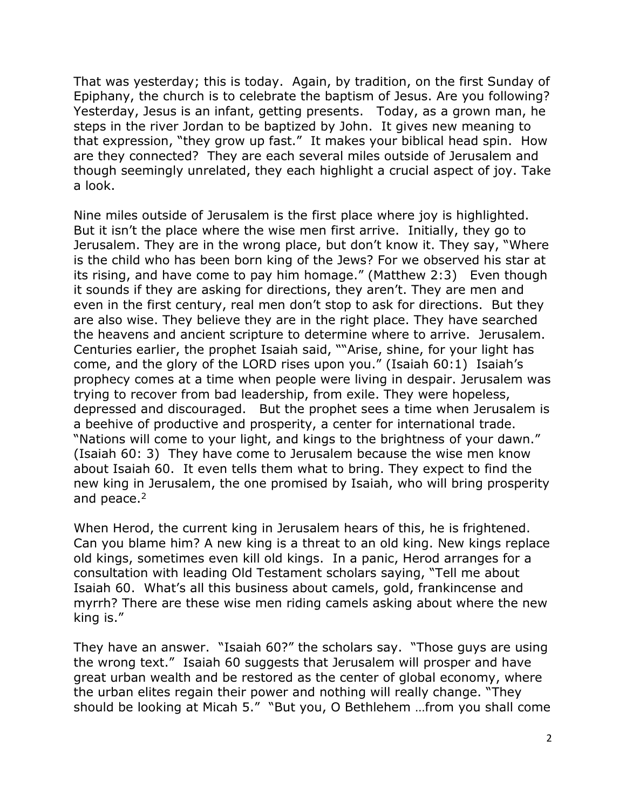That was yesterday; this is today. Again, by tradition, on the first Sunday of Epiphany, the church is to celebrate the baptism of Jesus. Are you following? Yesterday, Jesus is an infant, getting presents. Today, as a grown man, he steps in the river Jordan to be baptized by John. It gives new meaning to that expression, "they grow up fast." It makes your biblical head spin. How are they connected? They are each several miles outside of Jerusalem and though seemingly unrelated, they each highlight a crucial aspect of joy. Take a look.

Nine miles outside of Jerusalem is the first place where joy is highlighted. But it isn't the place where the wise men first arrive. Initially, they go to Jerusalem. They are in the wrong place, but don't know it. They say, "Where is the child who has been born king of the Jews? For we observed his star at its rising, and have come to pay him homage." (Matthew 2:3) Even though it sounds if they are asking for directions, they aren't. They are men and even in the first century, real men don't stop to ask for directions. But they are also wise. They believe they are in the right place. They have searched the heavens and ancient scripture to determine where to arrive. Jerusalem. Centuries earlier, the prophet Isaiah said, ""Arise, shine, for your light has come, and the glory of the LORD rises upon you." (Isaiah 60:1) Isaiah's prophecy comes at a time when people were living in despair. Jerusalem was trying to recover from bad leadership, from exile. They were hopeless, depressed and discouraged. But the prophet sees a time when Jerusalem is a beehive of productive and prosperity, a center for international trade. "Nations will come to your light, and kings to the brightness of your dawn." (Isaiah 60: 3) They have come to Jerusalem because the wise men know about Isaiah 60. It even tells them what to bring. They expect to find the new king in Jerusalem, the one promised by Isaiah, who will bring prosperity and peace.<sup>2</sup>

When Herod, the current king in Jerusalem hears of this, he is frightened. Can you blame him? A new king is a threat to an old king. New kings replace old kings, sometimes even kill old kings. In a panic, Herod arranges for a consultation with leading Old Testament scholars saying, "Tell me about Isaiah 60. What's all this business about camels, gold, frankincense and myrrh? There are these wise men riding camels asking about where the new king is."

They have an answer. "Isaiah 60?" the scholars say. "Those guys are using the wrong text." Isaiah 60 suggests that Jerusalem will prosper and have great urban wealth and be restored as the center of global economy, where the urban elites regain their power and nothing will really change. "They should be looking at Micah 5." "But you, O Bethlehem …from you shall come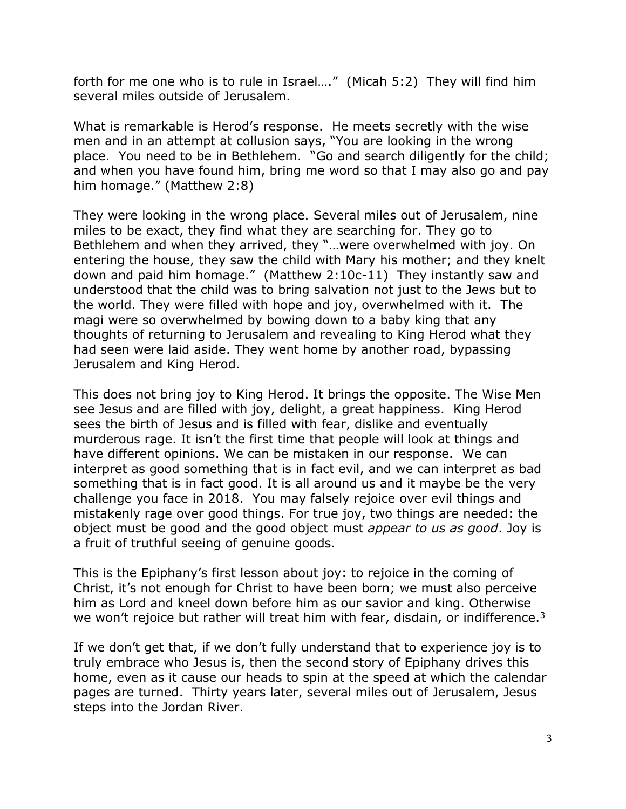forth for me one who is to rule in Israel…." (Micah 5:2) They will find him several miles outside of Jerusalem.

What is remarkable is Herod's response. He meets secretly with the wise men and in an attempt at collusion says, "You are looking in the wrong place. You need to be in Bethlehem. "Go and search diligently for the child; and when you have found him, bring me word so that I may also go and pay him homage." (Matthew 2:8)

They were looking in the wrong place. Several miles out of Jerusalem, nine miles to be exact, they find what they are searching for. They go to Bethlehem and when they arrived, they "…were overwhelmed with joy. On entering the house, they saw the child with Mary his mother; and they knelt down and paid him homage." (Matthew 2:10c-11) They instantly saw and understood that the child was to bring salvation not just to the Jews but to the world. They were filled with hope and joy, overwhelmed with it. The magi were so overwhelmed by bowing down to a baby king that any thoughts of returning to Jerusalem and revealing to King Herod what they had seen were laid aside. They went home by another road, bypassing Jerusalem and King Herod.

This does not bring joy to King Herod. It brings the opposite. The Wise Men see Jesus and are filled with joy, delight, a great happiness. King Herod sees the birth of Jesus and is filled with fear, dislike and eventually murderous rage. It isn't the first time that people will look at things and have different opinions. We can be mistaken in our response. We can interpret as good something that is in fact evil, and we can interpret as bad something that is in fact good. It is all around us and it maybe be the very challenge you face in 2018. You may falsely rejoice over evil things and mistakenly rage over good things. For true joy, two things are needed: the object must be good and the good object must *appear to us as good*. Joy is a fruit of truthful seeing of genuine goods.

This is the Epiphany's first lesson about joy: to rejoice in the coming of Christ, it's not enough for Christ to have been born; we must also perceive him as Lord and kneel down before him as our savior and king. Otherwise we won't rejoice but rather will treat him with fear, disdain, or indifference. $3$ 

If we don't get that, if we don't fully understand that to experience joy is to truly embrace who Jesus is, then the second story of Epiphany drives this home, even as it cause our heads to spin at the speed at which the calendar pages are turned. Thirty years later, several miles out of Jerusalem, Jesus steps into the Jordan River.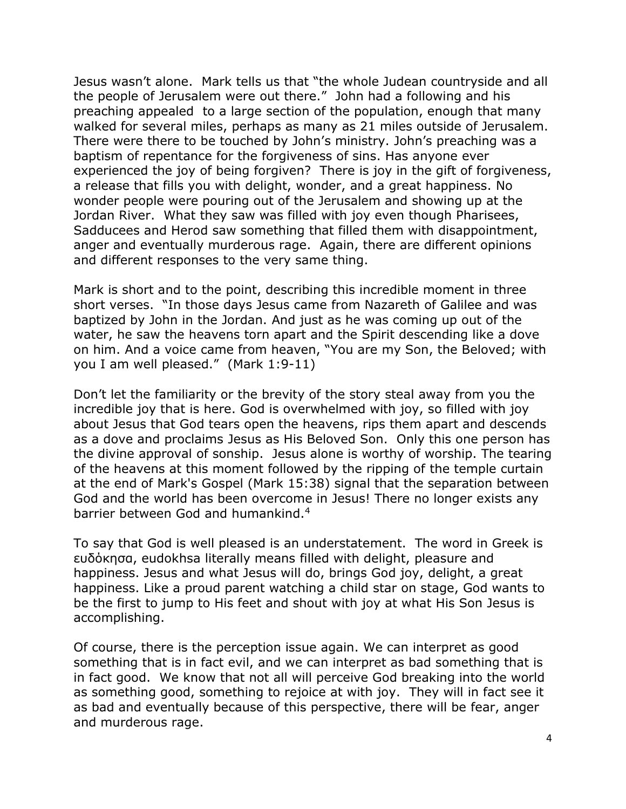Jesus wasn't alone. Mark tells us that "the whole Judean countryside and all the people of Jerusalem were out there." John had a following and his preaching appealed to a large section of the population, enough that many walked for several miles, perhaps as many as 21 miles outside of Jerusalem. There were there to be touched by John's ministry. John's preaching was a baptism of repentance for the forgiveness of sins. Has anyone ever experienced the joy of being forgiven? There is joy in the gift of forgiveness, a release that fills you with delight, wonder, and a great happiness. No wonder people were pouring out of the Jerusalem and showing up at the Jordan River. What they saw was filled with joy even though Pharisees, Sadducees and Herod saw something that filled them with disappointment, anger and eventually murderous rage. Again, there are different opinions and different responses to the very same thing.

Mark is short and to the point, describing this incredible moment in three short verses. "In those days Jesus came from Nazareth of Galilee and was baptized by John in the Jordan. And just as he was coming up out of the water, he saw the heavens torn apart and the Spirit descending like a dove on him. And a voice came from heaven, "You are my Son, the Beloved; with you I am well pleased." (Mark 1:9-11)

Don't let the familiarity or the brevity of the story steal away from you the incredible joy that is here. God is overwhelmed with joy, so filled with joy about Jesus that God tears open the heavens, rips them apart and descends as a dove and proclaims Jesus as His Beloved Son. Only this one person has the divine approval of sonship. Jesus alone is worthy of worship. The tearing of the heavens at this moment followed by the ripping of the temple curtain at the end of Mark's Gospel (Mark 15:38) signal that the separation between God and the world has been overcome in Jesus! There no longer exists any barrier between God and humankind.<sup>4</sup>

To say that God is well pleased is an understatement. The word in Greek is ευδόκησα, eudokhsa literally means filled with delight, pleasure and happiness. Jesus and what Jesus will do, brings God joy, delight, a great happiness. Like a proud parent watching a child star on stage, God wants to be the first to jump to His feet and shout with joy at what His Son Jesus is accomplishing.

Of course, there is the perception issue again. We can interpret as good something that is in fact evil, and we can interpret as bad something that is in fact good. We know that not all will perceive God breaking into the world as something good, something to rejoice at with joy. They will in fact see it as bad and eventually because of this perspective, there will be fear, anger and murderous rage.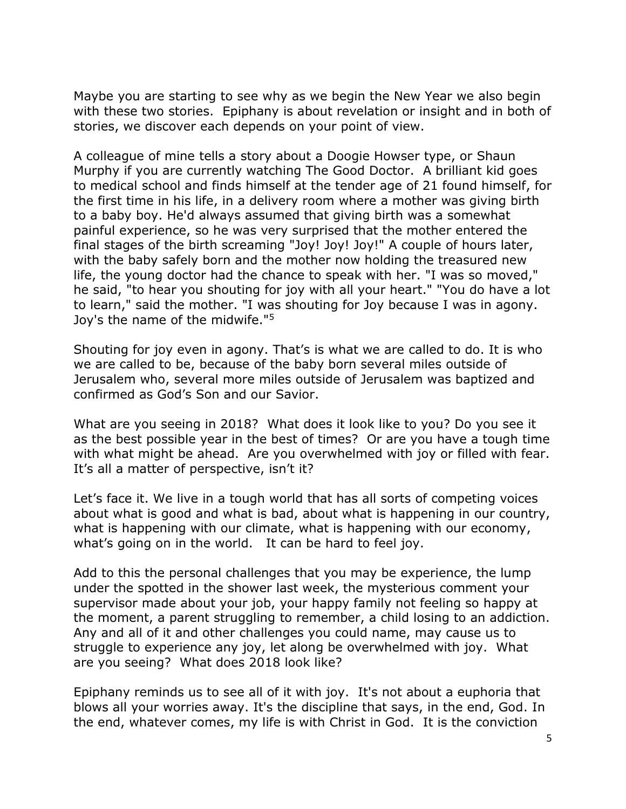Maybe you are starting to see why as we begin the New Year we also begin with these two stories. Epiphany is about revelation or insight and in both of stories, we discover each depends on your point of view.

A colleague of mine tells a story about a Doogie Howser type, or Shaun Murphy if you are currently watching The Good Doctor. A brilliant kid goes to medical school and finds himself at the tender age of 21 found himself, for the first time in his life, in a delivery room where a mother was giving birth to a baby boy. He'd always assumed that giving birth was a somewhat painful experience, so he was very surprised that the mother entered the final stages of the birth screaming "Joy! Joy! Joy!" A couple of hours later, with the baby safely born and the mother now holding the treasured new life, the young doctor had the chance to speak with her. "I was so moved," he said, "to hear you shouting for joy with all your heart." "You do have a lot to learn," said the mother. "I was shouting for Joy because I was in agony. Joy's the name of the midwife."<sup>5</sup>

Shouting for joy even in agony. That's is what we are called to do. It is who we are called to be, because of the baby born several miles outside of Jerusalem who, several more miles outside of Jerusalem was baptized and confirmed as God's Son and our Savior.

What are you seeing in 2018? What does it look like to you? Do you see it as the best possible year in the best of times? Or are you have a tough time with what might be ahead. Are you overwhelmed with joy or filled with fear. It's all a matter of perspective, isn't it?

Let's face it. We live in a tough world that has all sorts of competing voices about what is good and what is bad, about what is happening in our country, what is happening with our climate, what is happening with our economy, what's going on in the world. It can be hard to feel joy.

Add to this the personal challenges that you may be experience, the lump under the spotted in the shower last week, the mysterious comment your supervisor made about your job, your happy family not feeling so happy at the moment, a parent struggling to remember, a child losing to an addiction. Any and all of it and other challenges you could name, may cause us to struggle to experience any joy, let along be overwhelmed with joy. What are you seeing? What does 2018 look like?

Epiphany reminds us to see all of it with joy. It's not about a euphoria that blows all your worries away. It's the discipline that says, in the end, God. In the end, whatever comes, my life is with Christ in God. It is the conviction